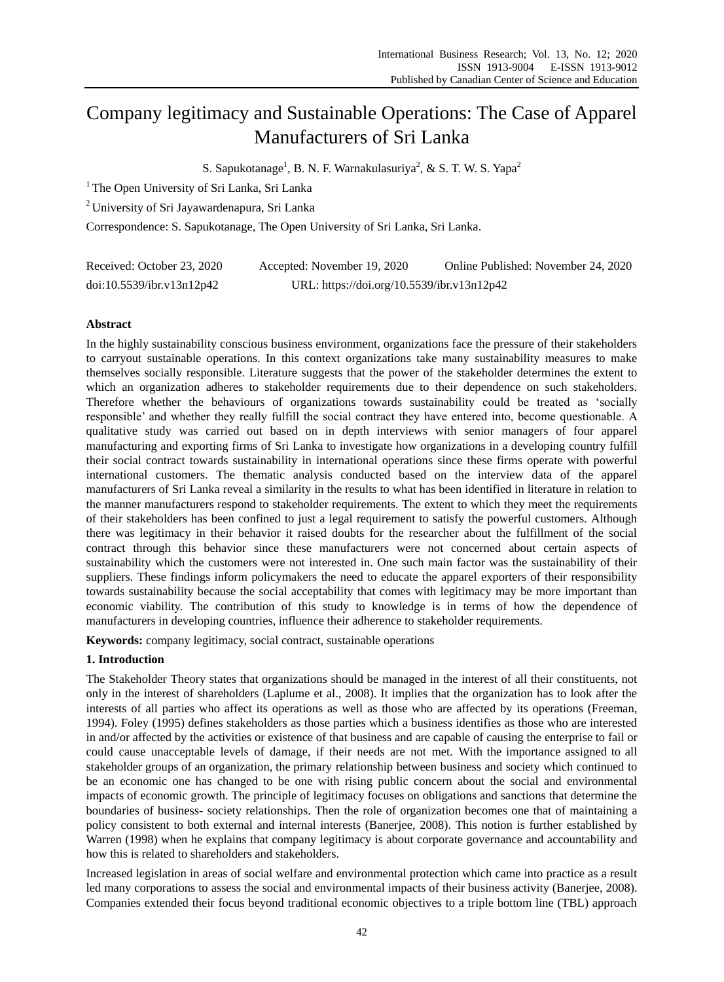# Company legitimacy and Sustainable Operations: The Case of Apparel Manufacturers of Sri Lanka

S. Sapukotanage<sup>1</sup>, B. N. F. Warnakulasuriya<sup>2</sup>, & S. T. W. S. Yapa<sup>2</sup>

<sup>1</sup> The Open University of Sri Lanka, Sri Lanka

<sup>2</sup> University of Sri Jayawardenapura, Sri Lanka

Correspondence: S. Sapukotanage, The Open University of Sri Lanka, Sri Lanka.

| Received: October 23, 2020 | Accepted: November 19, 2020                | Online Published: November 24, 2020 |
|----------------------------|--------------------------------------------|-------------------------------------|
| doi:10.5539/ibr.v13n12p42  | URL: https://doi.org/10.5539/ibr.v13n12p42 |                                     |

# **Abstract**

In the highly sustainability conscious business environment, organizations face the pressure of their stakeholders to carryout sustainable operations. In this context organizations take many sustainability measures to make themselves socially responsible. Literature suggests that the power of the stakeholder determines the extent to which an organization adheres to stakeholder requirements due to their dependence on such stakeholders. Therefore whether the behaviours of organizations towards sustainability could be treated as "socially responsible" and whether they really fulfill the social contract they have entered into, become questionable. A qualitative study was carried out based on in depth interviews with senior managers of four apparel manufacturing and exporting firms of Sri Lanka to investigate how organizations in a developing country fulfill their social contract towards sustainability in international operations since these firms operate with powerful international customers. The thematic analysis conducted based on the interview data of the apparel manufacturers of Sri Lanka reveal a similarity in the results to what has been identified in literature in relation to the manner manufacturers respond to stakeholder requirements. The extent to which they meet the requirements of their stakeholders has been confined to just a legal requirement to satisfy the powerful customers. Although there was legitimacy in their behavior it raised doubts for the researcher about the fulfillment of the social contract through this behavior since these manufacturers were not concerned about certain aspects of sustainability which the customers were not interested in. One such main factor was the sustainability of their suppliers. These findings inform policymakers the need to educate the apparel exporters of their responsibility towards sustainability because the social acceptability that comes with legitimacy may be more important than economic viability. The contribution of this study to knowledge is in terms of how the dependence of manufacturers in developing countries, influence their adherence to stakeholder requirements.

**Keywords:** company legitimacy, social contract, sustainable operations

# **1. Introduction**

The Stakeholder Theory states that organizations should be managed in the interest of all their constituents, not only in the interest of shareholders (Laplume et al., 2008). It implies that the organization has to look after the interests of all parties who affect its operations as well as those who are affected by its operations (Freeman, 1994). Foley (1995) defines stakeholders as those parties which a business identifies as those who are interested in and/or affected by the activities or existence of that business and are capable of causing the enterprise to fail or could cause unacceptable levels of damage, if their needs are not met. With the importance assigned to all stakeholder groups of an organization, the primary relationship between business and society which continued to be an economic one has changed to be one with rising public concern about the social and environmental impacts of economic growth. The principle of legitimacy focuses on obligations and sanctions that determine the boundaries of business- society relationships. Then the role of organization becomes one that of maintaining a policy consistent to both external and internal interests (Banerjee, 2008). This notion is further established by Warren (1998) when he explains that company legitimacy is about corporate governance and accountability and how this is related to shareholders and stakeholders.

Increased legislation in areas of social welfare and environmental protection which came into practice as a result led many corporations to assess the social and environmental impacts of their business activity (Banerjee, 2008). Companies extended their focus beyond traditional economic objectives to a triple bottom line (TBL) approach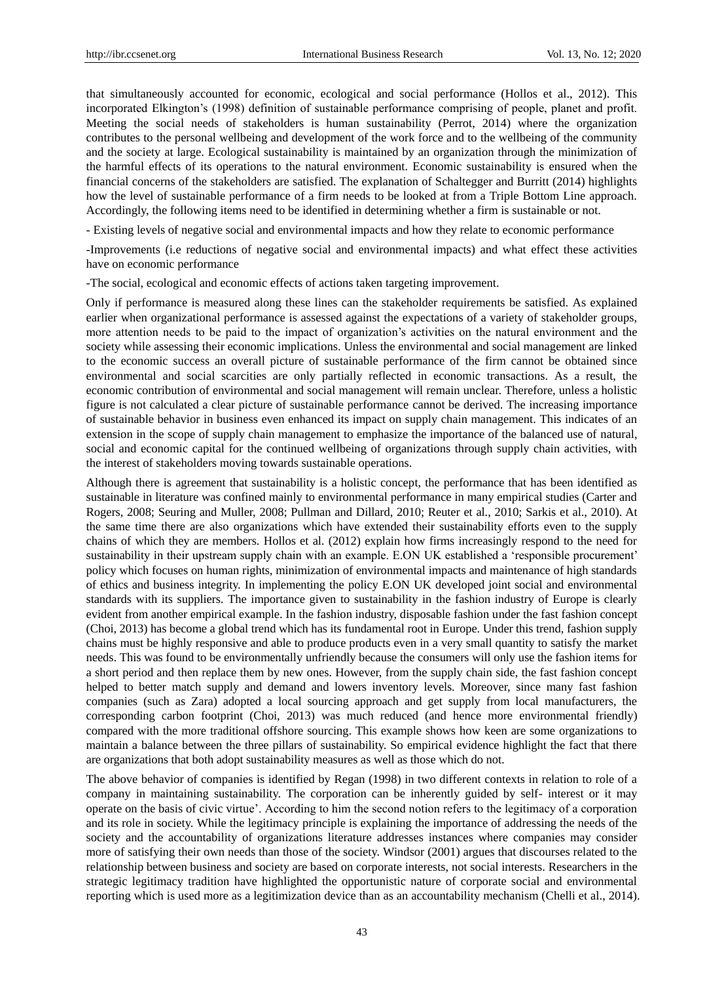that simultaneously accounted for economic, ecological and social performance (Hollos et al., 2012). This incorporated Elkington"s (1998) definition of sustainable performance comprising of people, planet and profit. Meeting the social needs of stakeholders is human sustainability (Perrot, 2014) where the organization contributes to the personal wellbeing and development of the work force and to the wellbeing of the community and the society at large. Ecological sustainability is maintained by an organization through the minimization of the harmful effects of its operations to the natural environment. Economic sustainability is ensured when the financial concerns of the stakeholders are satisfied. The explanation of Schaltegger and Burritt (2014) highlights how the level of sustainable performance of a firm needs to be looked at from a Triple Bottom Line approach. Accordingly, the following items need to be identified in determining whether a firm is sustainable or not.

- Existing levels of negative social and environmental impacts and how they relate to economic performance

-Improvements (i.e reductions of negative social and environmental impacts) and what effect these activities have on economic performance

-The social, ecological and economic effects of actions taken targeting improvement.

Only if performance is measured along these lines can the stakeholder requirements be satisfied. As explained earlier when organizational performance is assessed against the expectations of a variety of stakeholder groups, more attention needs to be paid to the impact of organization"s activities on the natural environment and the society while assessing their economic implications. Unless the environmental and social management are linked to the economic success an overall picture of sustainable performance of the firm cannot be obtained since environmental and social scarcities are only partially reflected in economic transactions. As a result, the economic contribution of environmental and social management will remain unclear. Therefore, unless a holistic figure is not calculated a clear picture of sustainable performance cannot be derived. The increasing importance of sustainable behavior in business even enhanced its impact on supply chain management. This indicates of an extension in the scope of supply chain management to emphasize the importance of the balanced use of natural, social and economic capital for the continued wellbeing of organizations through supply chain activities, with the interest of stakeholders moving towards sustainable operations.

Although there is agreement that sustainability is a holistic concept, the performance that has been identified as sustainable in literature was confined mainly to environmental performance in many empirical studies (Carter and Rogers, 2008; Seuring and Muller, 2008; Pullman and Dillard, 2010; Reuter et al., 2010; Sarkis et al., 2010). At the same time there are also organizations which have extended their sustainability efforts even to the supply chains of which they are members. Hollos et al. (2012) explain how firms increasingly respond to the need for sustainability in their upstream supply chain with an example. E.ON UK established a "responsible procurement" policy which focuses on human rights, minimization of environmental impacts and maintenance of high standards of ethics and business integrity. In implementing the policy E.ON UK developed joint social and environmental standards with its suppliers. The importance given to sustainability in the fashion industry of Europe is clearly evident from another empirical example. In the fashion industry, disposable fashion under the fast fashion concept (Choi, 2013) has become a global trend which has its fundamental root in Europe. Under this trend, fashion supply chains must be highly responsive and able to produce products even in a very small quantity to satisfy the market needs. This was found to be environmentally unfriendly because the consumers will only use the fashion items for a short period and then replace them by new ones. However, from the supply chain side, the fast fashion concept helped to better match supply and demand and lowers inventory levels. Moreover, since many fast fashion companies (such as Zara) adopted a local sourcing approach and get supply from local manufacturers, the corresponding carbon footprint (Choi, 2013) was much reduced (and hence more environmental friendly) compared with the more traditional offshore sourcing. This example shows how keen are some organizations to maintain a balance between the three pillars of sustainability. So empirical evidence highlight the fact that there are organizations that both adopt sustainability measures as well as those which do not.

The above behavior of companies is identified by Regan (1998) in two different contexts in relation to role of a company in maintaining sustainability. The corporation can be inherently guided by self- interest or it may operate on the basis of civic virtue". According to him the second notion refers to the legitimacy of a corporation and its role in society. While the legitimacy principle is explaining the importance of addressing the needs of the society and the accountability of organizations literature addresses instances where companies may consider more of satisfying their own needs than those of the society. Windsor (2001) argues that discourses related to the relationship between business and society are based on corporate interests, not social interests. Researchers in the strategic legitimacy tradition have highlighted the opportunistic nature of corporate social and environmental reporting which is used more as a legitimization device than as an accountability mechanism (Chelli et al., 2014).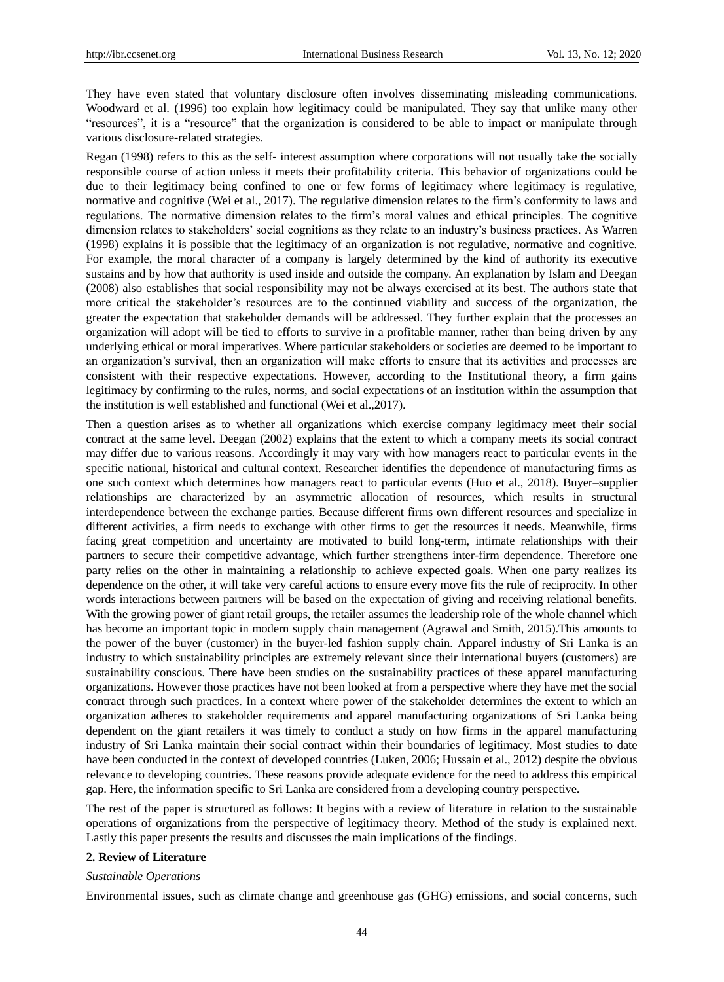They have even stated that voluntary disclosure often involves disseminating misleading communications. Woodward et al. (1996) too explain how legitimacy could be manipulated. They say that unlike many other "resources", it is a "resource" that the organization is considered to be able to impact or manipulate through various disclosure-related strategies.

Regan (1998) refers to this as the self- interest assumption where corporations will not usually take the socially responsible course of action unless it meets their profitability criteria. This behavior of organizations could be due to their legitimacy being confined to one or few forms of legitimacy where legitimacy is regulative, normative and cognitive (Wei et al., 2017). The regulative dimension relates to the firm"s conformity to laws and regulations. The normative dimension relates to the firm"s moral values and ethical principles. The cognitive dimension relates to stakeholders" social cognitions as they relate to an industry"s business practices. As Warren (1998) explains it is possible that the legitimacy of an organization is not regulative, normative and cognitive. For example, the moral character of a company is largely determined by the kind of authority its executive sustains and by how that authority is used inside and outside the company. An explanation by Islam and Deegan (2008) also establishes that social responsibility may not be always exercised at its best. The authors state that more critical the stakeholder"s resources are to the continued viability and success of the organization, the greater the expectation that stakeholder demands will be addressed. They further explain that the processes an organization will adopt will be tied to efforts to survive in a profitable manner, rather than being driven by any underlying ethical or moral imperatives. Where particular stakeholders or societies are deemed to be important to an organization"s survival, then an organization will make efforts to ensure that its activities and processes are consistent with their respective expectations. However, according to the Institutional theory, a firm gains legitimacy by confirming to the rules, norms, and social expectations of an institution within the assumption that the institution is well established and functional (Wei et al.,2017).

Then a question arises as to whether all organizations which exercise company legitimacy meet their social contract at the same level. Deegan (2002) explains that the extent to which a company meets its social contract may differ due to various reasons. Accordingly it may vary with how managers react to particular events in the specific national, historical and cultural context. Researcher identifies the dependence of manufacturing firms as one such context which determines how managers react to particular events (Huo et al., 2018). Buyer–supplier relationships are characterized by an asymmetric allocation of resources, which results in structural interdependence between the exchange parties. Because different firms own different resources and specialize in different activities, a firm needs to exchange with other firms to get the resources it needs. Meanwhile, firms facing great competition and uncertainty are motivated to build long-term, intimate relationships with their partners to secure their competitive advantage, which further strengthens inter-firm dependence. Therefore one party relies on the other in maintaining a relationship to achieve expected goals. When one party realizes its dependence on the other, it will take very careful actions to ensure every move fits the rule of reciprocity. In other words interactions between partners will be based on the expectation of giving and receiving relational benefits. With the growing power of giant retail groups, the retailer assumes the leadership role of the whole channel which has become an important topic in modern supply chain management (Agrawal and Smith, 2015).This amounts to the power of the buyer (customer) in the buyer-led fashion supply chain. Apparel industry of Sri Lanka is an industry to which sustainability principles are extremely relevant since their international buyers (customers) are sustainability conscious. There have been studies on the sustainability practices of these apparel manufacturing organizations. However those practices have not been looked at from a perspective where they have met the social contract through such practices. In a context where power of the stakeholder determines the extent to which an organization adheres to stakeholder requirements and apparel manufacturing organizations of Sri Lanka being dependent on the giant retailers it was timely to conduct a study on how firms in the apparel manufacturing industry of Sri Lanka maintain their social contract within their boundaries of legitimacy. Most studies to date have been conducted in the context of developed countries (Luken, 2006; Hussain et al., 2012) despite the obvious relevance to developing countries. These reasons provide adequate evidence for the need to address this empirical gap. Here, the information specific to Sri Lanka are considered from a developing country perspective.

The rest of the paper is structured as follows: It begins with a review of literature in relation to the sustainable operations of organizations from the perspective of legitimacy theory. Method of the study is explained next. Lastly this paper presents the results and discusses the main implications of the findings.

#### **2. Review of Literature**

#### *Sustainable Operations*

Environmental issues, such as climate change and greenhouse gas (GHG) emissions, and social concerns, such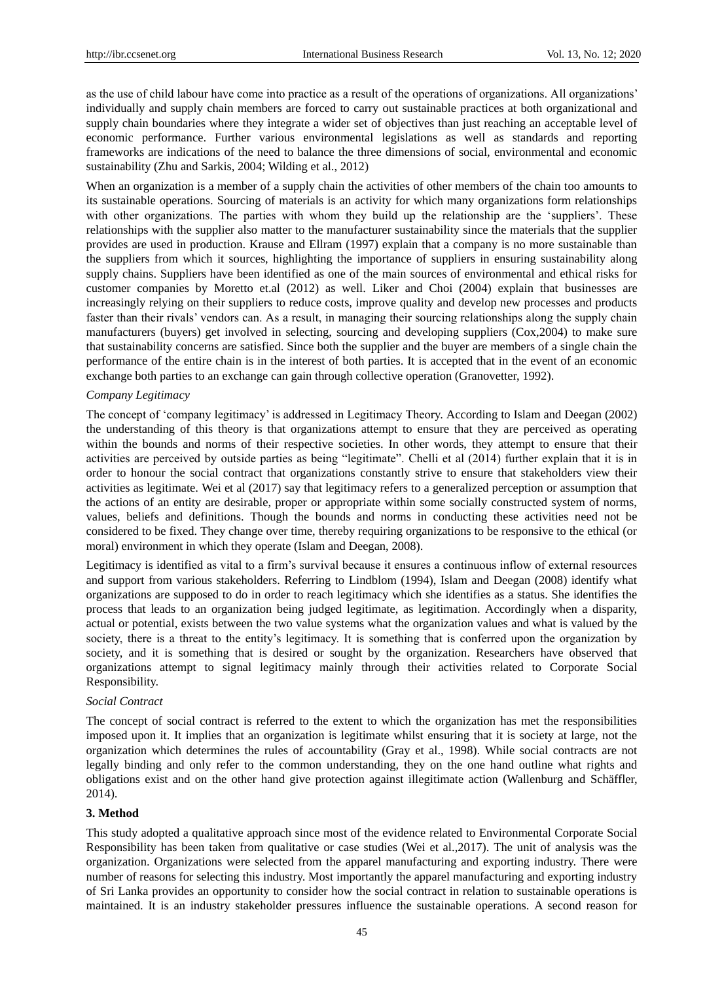as the use of child labour have come into practice as a result of the operations of organizations. All organizations" individually and supply chain members are forced to carry out sustainable practices at both organizational and supply chain boundaries where they integrate a wider set of objectives than just reaching an acceptable level of economic performance. Further various environmental legislations as well as standards and reporting frameworks are indications of the need to balance the three dimensions of social, environmental and economic sustainability (Zhu and Sarkis, 2004; Wilding et al., 2012)

When an organization is a member of a supply chain the activities of other members of the chain too amounts to its sustainable operations. Sourcing of materials is an activity for which many organizations form relationships with other organizations. The parties with whom they build up the relationship are the 'suppliers'. These relationships with the supplier also matter to the manufacturer sustainability since the materials that the supplier provides are used in production. Krause and Ellram (1997) explain that a company is no more sustainable than the suppliers from which it sources, highlighting the importance of suppliers in ensuring sustainability along supply chains. Suppliers have been identified as one of the main sources of environmental and ethical risks for customer companies by Moretto et.al (2012) as well. Liker and Choi (2004) explain that businesses are increasingly relying on their suppliers to reduce costs, improve quality and develop new processes and products faster than their rivals" vendors can. As a result, in managing their sourcing relationships along the supply chain manufacturers (buyers) get involved in selecting, sourcing and developing suppliers (Cox,2004) to make sure that sustainability concerns are satisfied. Since both the supplier and the buyer are members of a single chain the performance of the entire chain is in the interest of both parties. It is accepted that in the event of an economic exchange both parties to an exchange can gain through collective operation (Granovetter, 1992).

#### *Company Legitimacy*

The concept of "company legitimacy" is addressed in Legitimacy Theory. According to Islam and Deegan (2002) the understanding of this theory is that organizations attempt to ensure that they are perceived as operating within the bounds and norms of their respective societies. In other words, they attempt to ensure that their activities are perceived by outside parties as being "legitimate". Chelli et al (2014) further explain that it is in order to honour the social contract that organizations constantly strive to ensure that stakeholders view their activities as legitimate. Wei et al (2017) say that legitimacy refers to a generalized perception or assumption that the actions of an entity are desirable, proper or appropriate within some socially constructed system of norms, values, beliefs and definitions. Though the bounds and norms in conducting these activities need not be considered to be fixed. They change over time, thereby requiring organizations to be responsive to the ethical (or moral) environment in which they operate (Islam and Deegan, 2008).

Legitimacy is identified as vital to a firm"s survival because it ensures a continuous inflow of external resources and support from various stakeholders. Referring to Lindblom (1994), Islam and Deegan (2008) identify what organizations are supposed to do in order to reach legitimacy which she identifies as a status. She identifies the process that leads to an organization being judged legitimate, as legitimation. Accordingly when a disparity, actual or potential, exists between the two value systems what the organization values and what is valued by the society, there is a threat to the entity's legitimacy. It is something that is conferred upon the organization by society, and it is something that is desired or sought by the organization. Researchers have observed that organizations attempt to signal legitimacy mainly through their activities related to Corporate Social Responsibility.

#### *Social Contract*

The concept of social contract is referred to the extent to which the organization has met the responsibilities imposed upon it. It implies that an organization is legitimate whilst ensuring that it is society at large, not the organization which determines the rules of accountability (Gray et al., 1998). While social contracts are not legally binding and only refer to the common understanding, they on the one hand outline what rights and obligations exist and on the other hand give protection against illegitimate action (Wallenburg and Schäffler, 2014).

#### **3. Method**

This study adopted a qualitative approach since most of the evidence related to Environmental Corporate Social Responsibility has been taken from qualitative or case studies (Wei et al.,2017). The unit of analysis was the organization. Organizations were selected from the apparel manufacturing and exporting industry. There were number of reasons for selecting this industry. Most importantly the apparel manufacturing and exporting industry of Sri Lanka provides an opportunity to consider how the social contract in relation to sustainable operations is maintained. It is an industry stakeholder pressures influence the sustainable operations. A second reason for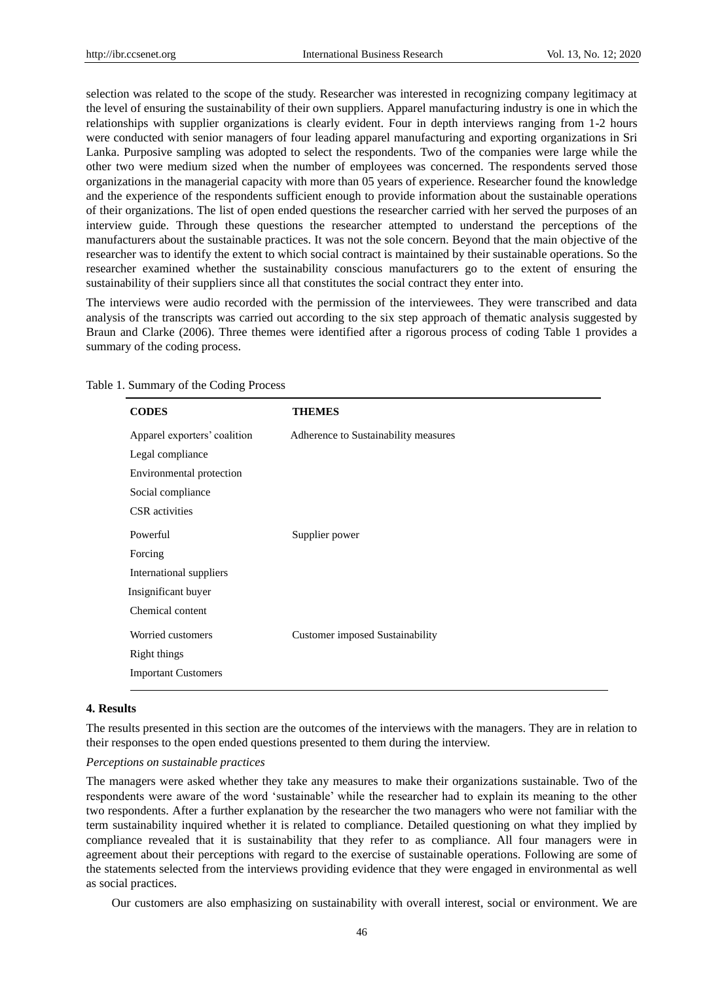selection was related to the scope of the study. Researcher was interested in recognizing company legitimacy at the level of ensuring the sustainability of their own suppliers. Apparel manufacturing industry is one in which the relationships with supplier organizations is clearly evident. Four in depth interviews ranging from 1-2 hours were conducted with senior managers of four leading apparel manufacturing and exporting organizations in Sri Lanka. Purposive sampling was adopted to select the respondents. Two of the companies were large while the other two were medium sized when the number of employees was concerned. The respondents served those organizations in the managerial capacity with more than 05 years of experience. Researcher found the knowledge and the experience of the respondents sufficient enough to provide information about the sustainable operations of their organizations. The list of open ended questions the researcher carried with her served the purposes of an interview guide. Through these questions the researcher attempted to understand the perceptions of the manufacturers about the sustainable practices. It was not the sole concern. Beyond that the main objective of the researcher was to identify the extent to which social contract is maintained by their sustainable operations. So the researcher examined whether the sustainability conscious manufacturers go to the extent of ensuring the sustainability of their suppliers since all that constitutes the social contract they enter into.

The interviews were audio recorded with the permission of the interviewees. They were transcribed and data analysis of the transcripts was carried out according to the six step approach of thematic analysis suggested by Braun and Clarke (2006). Three themes were identified after a rigorous process of coding Table 1 provides a summary of the coding process.

| <b>CODES</b>                 | <b>THEMES</b>                          |
|------------------------------|----------------------------------------|
| Apparel exporters' coalition | Adherence to Sustainability measures   |
| Legal compliance             |                                        |
| Environmental protection     |                                        |
| Social compliance            |                                        |
| <b>CSR</b> activities        |                                        |
| Powerful                     | Supplier power                         |
| Forcing                      |                                        |
| International suppliers      |                                        |
| Insignificant buyer          |                                        |
| Chemical content             |                                        |
| Worried customers            | <b>Customer</b> imposed Sustainability |
| <b>Right things</b>          |                                        |
| <b>Important Customers</b>   |                                        |

Table 1. Summary of the Coding Process

# **4. Results**

The results presented in this section are the outcomes of the interviews with the managers. They are in relation to their responses to the open ended questions presented to them during the interview.

### *Perceptions on sustainable practices*

The managers were asked whether they take any measures to make their organizations sustainable. Two of the respondents were aware of the word "sustainable" while the researcher had to explain its meaning to the other two respondents. After a further explanation by the researcher the two managers who were not familiar with the term sustainability inquired whether it is related to compliance. Detailed questioning on what they implied by compliance revealed that it is sustainability that they refer to as compliance. All four managers were in agreement about their perceptions with regard to the exercise of sustainable operations. Following are some of the statements selected from the interviews providing evidence that they were engaged in environmental as well as social practices.

Our customers are also emphasizing on sustainability with overall interest, social or environment. We are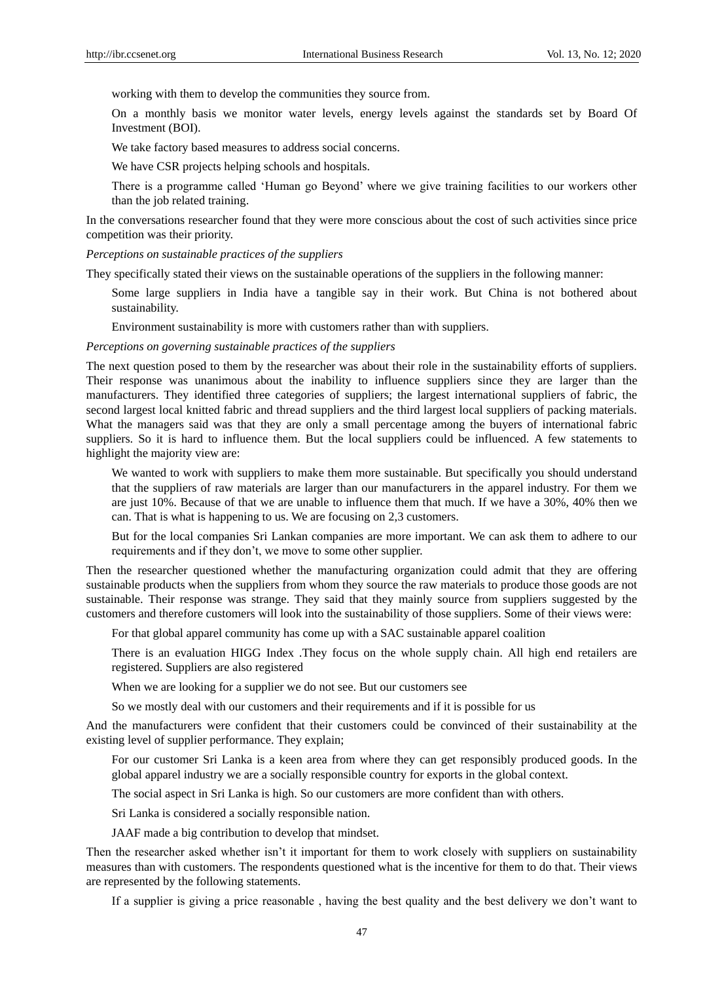working with them to develop the communities they source from.

On a monthly basis we monitor water levels, energy levels against the standards set by Board Of Investment (BOI).

We take factory based measures to address social concerns.

We have CSR projects helping schools and hospitals.

There is a programme called "Human go Beyond" where we give training facilities to our workers other than the job related training.

In the conversations researcher found that they were more conscious about the cost of such activities since price competition was their priority.

*Perceptions on sustainable practices of the suppliers*

They specifically stated their views on the sustainable operations of the suppliers in the following manner:

Some large suppliers in India have a tangible say in their work. But China is not bothered about sustainability.

Environment sustainability is more with customers rather than with suppliers.

*Perceptions on governing sustainable practices of the suppliers*

The next question posed to them by the researcher was about their role in the sustainability efforts of suppliers. Their response was unanimous about the inability to influence suppliers since they are larger than the manufacturers. They identified three categories of suppliers; the largest international suppliers of fabric, the second largest local knitted fabric and thread suppliers and the third largest local suppliers of packing materials. What the managers said was that they are only a small percentage among the buyers of international fabric suppliers. So it is hard to influence them. But the local suppliers could be influenced. A few statements to highlight the majority view are:

We wanted to work with suppliers to make them more sustainable. But specifically you should understand that the suppliers of raw materials are larger than our manufacturers in the apparel industry. For them we are just 10%. Because of that we are unable to influence them that much. If we have a 30%, 40% then we can. That is what is happening to us. We are focusing on 2,3 customers.

But for the local companies Sri Lankan companies are more important. We can ask them to adhere to our requirements and if they don"t, we move to some other supplier.

Then the researcher questioned whether the manufacturing organization could admit that they are offering sustainable products when the suppliers from whom they source the raw materials to produce those goods are not sustainable. Their response was strange. They said that they mainly source from suppliers suggested by the customers and therefore customers will look into the sustainability of those suppliers. Some of their views were:

For that global apparel community has come up with a SAC sustainable apparel coalition

There is an evaluation HIGG Index .They focus on the whole supply chain. All high end retailers are registered. Suppliers are also registered

When we are looking for a supplier we do not see. But our customers see

So we mostly deal with our customers and their requirements and if it is possible for us

And the manufacturers were confident that their customers could be convinced of their sustainability at the existing level of supplier performance. They explain;

For our customer Sri Lanka is a keen area from where they can get responsibly produced goods. In the global apparel industry we are a socially responsible country for exports in the global context.

The social aspect in Sri Lanka is high. So our customers are more confident than with others.

Sri Lanka is considered a socially responsible nation.

JAAF made a big contribution to develop that mindset.

Then the researcher asked whether isn't it important for them to work closely with suppliers on sustainability measures than with customers. The respondents questioned what is the incentive for them to do that. Their views are represented by the following statements.

If a supplier is giving a price reasonable , having the best quality and the best delivery we don"t want to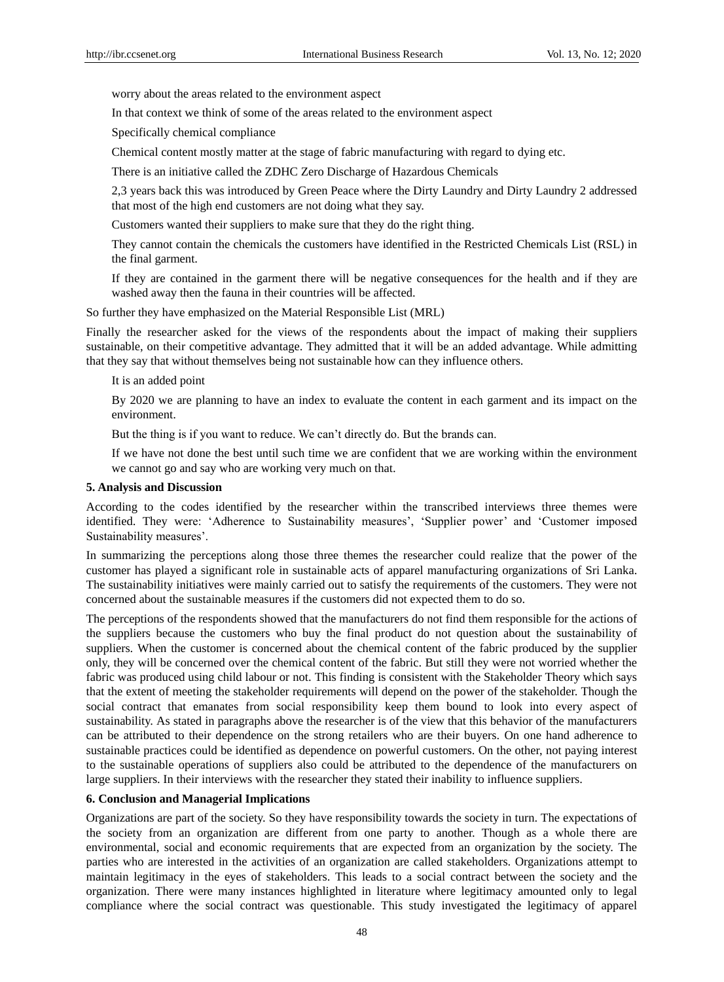worry about the areas related to the environment aspect

In that context we think of some of the areas related to the environment aspect

Specifically chemical compliance

Chemical content mostly matter at the stage of fabric manufacturing with regard to dying etc.

There is an initiative called the ZDHC Zero Discharge of Hazardous Chemicals

2,3 years back this was introduced by Green Peace where the Dirty Laundry and Dirty Laundry 2 addressed that most of the high end customers are not doing what they say.

Customers wanted their suppliers to make sure that they do the right thing.

They cannot contain the chemicals the customers have identified in the Restricted Chemicals List (RSL) in the final garment.

If they are contained in the garment there will be negative consequences for the health and if they are washed away then the fauna in their countries will be affected.

So further they have emphasized on the Material Responsible List (MRL)

Finally the researcher asked for the views of the respondents about the impact of making their suppliers sustainable, on their competitive advantage. They admitted that it will be an added advantage. While admitting that they say that without themselves being not sustainable how can they influence others.

It is an added point

By 2020 we are planning to have an index to evaluate the content in each garment and its impact on the environment.

But the thing is if you want to reduce. We can't directly do. But the brands can.

If we have not done the best until such time we are confident that we are working within the environment we cannot go and say who are working very much on that.

#### **5. Analysis and Discussion**

According to the codes identified by the researcher within the transcribed interviews three themes were identified. They were: 'Adherence to Sustainability measures', 'Supplier power' and 'Customer imposed Sustainability measures'.

In summarizing the perceptions along those three themes the researcher could realize that the power of the customer has played a significant role in sustainable acts of apparel manufacturing organizations of Sri Lanka. The sustainability initiatives were mainly carried out to satisfy the requirements of the customers. They were not concerned about the sustainable measures if the customers did not expected them to do so.

The perceptions of the respondents showed that the manufacturers do not find them responsible for the actions of the suppliers because the customers who buy the final product do not question about the sustainability of suppliers. When the customer is concerned about the chemical content of the fabric produced by the supplier only, they will be concerned over the chemical content of the fabric. But still they were not worried whether the fabric was produced using child labour or not. This finding is consistent with the Stakeholder Theory which says that the extent of meeting the stakeholder requirements will depend on the power of the stakeholder. Though the social contract that emanates from social responsibility keep them bound to look into every aspect of sustainability. As stated in paragraphs above the researcher is of the view that this behavior of the manufacturers can be attributed to their dependence on the strong retailers who are their buyers. On one hand adherence to sustainable practices could be identified as dependence on powerful customers. On the other, not paying interest to the sustainable operations of suppliers also could be attributed to the dependence of the manufacturers on large suppliers. In their interviews with the researcher they stated their inability to influence suppliers.

#### **6. Conclusion and Managerial Implications**

Organizations are part of the society. So they have responsibility towards the society in turn. The expectations of the society from an organization are different from one party to another. Though as a whole there are environmental, social and economic requirements that are expected from an organization by the society. The parties who are interested in the activities of an organization are called stakeholders. Organizations attempt to maintain legitimacy in the eyes of stakeholders. This leads to a social contract between the society and the organization. There were many instances highlighted in literature where legitimacy amounted only to legal compliance where the social contract was questionable. This study investigated the legitimacy of apparel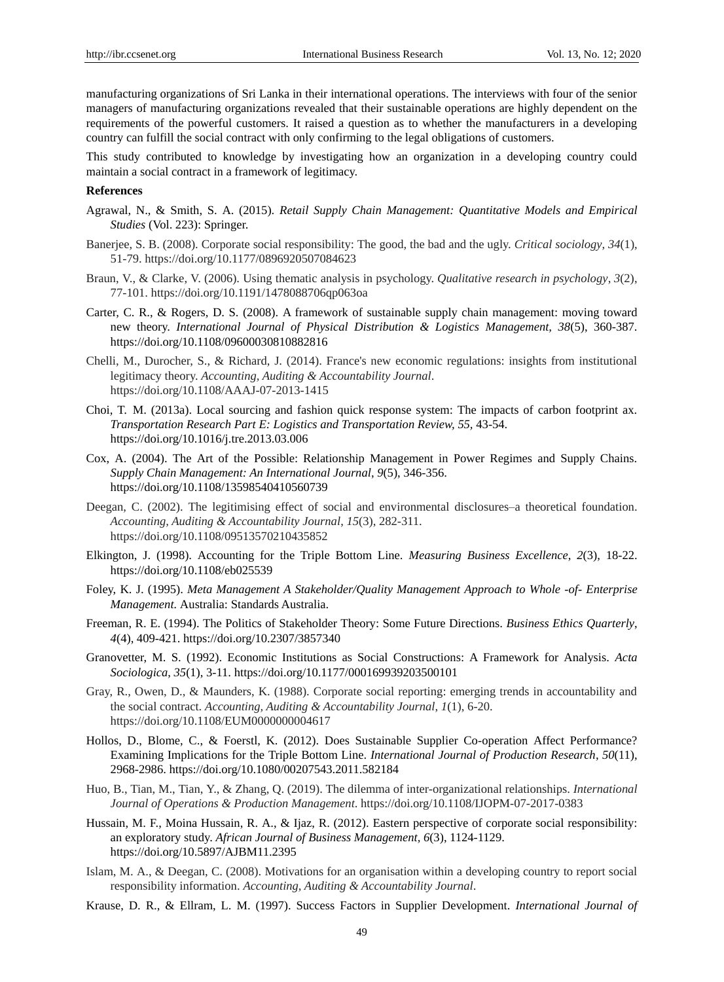manufacturing organizations of Sri Lanka in their international operations. The interviews with four of the senior managers of manufacturing organizations revealed that their sustainable operations are highly dependent on the requirements of the powerful customers. It raised a question as to whether the manufacturers in a developing country can fulfill the social contract with only confirming to the legal obligations of customers.

This study contributed to knowledge by investigating how an organization in a developing country could maintain a social contract in a framework of legitimacy.

#### **References**

- Agrawal, N., & Smith, S. A. (2015). *Retail Supply Chain Management: Quantitative Models and Empirical Studies* (Vol. 223): Springer.
- Banerjee, S. B. (2008). Corporate social responsibility: The good, the bad and the ugly. *Critical sociology*, *34*(1), 51-79. https://doi.org/10.1177/0896920507084623
- Braun, V., & Clarke, V. (2006). Using thematic analysis in psychology. *Qualitative research in psychology*, *3*(2), 77-101. https://doi.org/10.1191/1478088706qp063oa
- Carter, C. R., & Rogers, D. S. (2008). A framework of sustainable supply chain management: moving toward new theory. *International Journal of Physical Distribution & Logistics Management, 38*(5), 360-387. https://doi.org/10.1108/09600030810882816
- Chelli, M., Durocher, S., & Richard, J. (2014). France's new economic regulations: insights from institutional legitimacy theory. *Accounting, Auditing & Accountability Journal*. https://doi.org/10.1108/AAAJ-07-2013-1415
- Choi, T. M. (2013a). Local sourcing and fashion quick response system: The impacts of carbon footprint ax. *Transportation Research Part E: Logistics and Transportation Review, 55,* 43-54. https://doi.org/10.1016/j.tre.2013.03.006
- Cox, A. (2004). The Art of the Possible: Relationship Management in Power Regimes and Supply Chains. *Supply Chain Management: An International Journal*, *9*(5), 346-356. https://doi.org/10.1108/13598540410560739
- Deegan, C. (2002). The legitimising effect of social and environmental disclosures–a theoretical foundation. *Accounting, Auditing & Accountability Journal*, *15*(3), 282-311. https://doi.org/10.1108/09513570210435852
- Elkington, J. (1998). Accounting for the Triple Bottom Line. *Measuring Business Excellence*, *2*(3), 18-22. https://doi.org/10.1108/eb025539
- Foley, K. J. (1995). *Meta Management A Stakeholder/Quality Management Approach to Whole -of- Enterprise Management.* Australia: Standards Australia.
- Freeman, R. E. (1994). The Politics of Stakeholder Theory: Some Future Directions. *Business Ethics Quarterly*, *4*(4), 409-421. https://doi.org/10.2307/3857340
- Granovetter, M. S. (1992). Economic Institutions as Social Constructions: A Framework for Analysis. *Acta Sociologica*, *35*(1), 3-11. https://doi.org/10.1177/000169939203500101
- Gray, R., Owen, D., & Maunders, K. (1988). Corporate social reporting: emerging trends in accountability and the social contract. *Accounting, Auditing & Accountability Journal*, *1*(1), 6-20. https://doi.org/10.1108/EUM0000000004617
- Hollos, D., Blome, C., & Foerstl, K. (2012). Does Sustainable Supplier Co-operation Affect Performance? Examining Implications for the Triple Bottom Line. *International Journal of Production Research*, *50*(11), 2968-2986. https://doi.org/10.1080/00207543.2011.582184
- Huo, B., Tian, M., Tian, Y., & Zhang, Q. (2019). The dilemma of inter-organizational relationships. *International Journal of Operations & Production Management*. https://doi.org/10.1108/IJOPM-07-2017-0383
- Hussain, M. F., Moina Hussain, R. A., & Ijaz, R. (2012). Eastern perspective of corporate social responsibility: an exploratory study. *African Journal of Business Management, 6*(3), 1124-1129. https://doi.org/10.5897/AJBM11.2395
- Islam, M. A., & Deegan, C. (2008). Motivations for an organisation within a developing country to report social responsibility information. *Accounting, Auditing & Accountability Journal*.
- Krause, D. R., & Ellram, L. M. (1997). Success Factors in Supplier Development. *International Journal of*